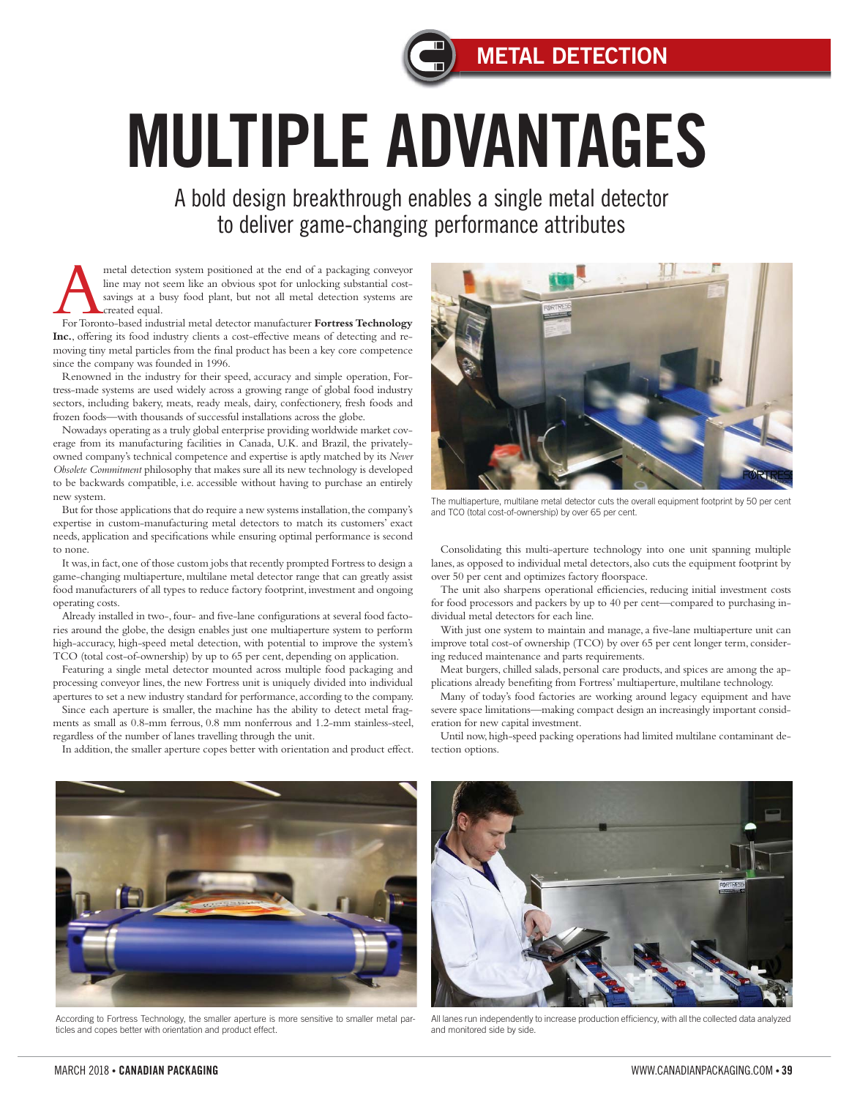## **METAL DETECTION**

## MULTIPLE ADVANTAGES

A bold design breakthrough enables a single metal detector to deliver game-changing performance attributes

metal detection system positioned at the end of a packaging conveyor<br>
line may not seem like an obvious spot for unlocking substantial cost-<br>
savings at a busy food plant, but not all metal detection systems are<br>
For Toron line may not seem like an obvious spot for unlocking substantial costsavings at a busy food plant, but not all metal detection systems are created equal.

**Inc.**, offering its food industry clients a cost-effective means of detecting and removing tiny metal particles from the final product has been a key core competence since the company was founded in 1996.

Renowned in the industry for their speed, accuracy and simple operation, Fortress-made systems are used widely across a growing range of global food industry sectors, including bakery, meats, ready meals, dairy, confectionery, fresh foods and frozen foods—with thousands of successful installations across the globe.

Nowadays operating as a truly global enterprise providing worldwide market coverage from its manufacturing facilities in Canada, U.K. and Brazil, the privatelyowned company's technical competence and expertise is aptly matched by its *Never Obsolete Commitment* philosophy that makes sure all its new technology is developed to be backwards compatible, i.e. accessible without having to purchase an entirely new system.

But for those applications that do require a new systems installation, the company's expertise in custom-manufacturing metal detectors to match its customers' exact needs, application and specifications while ensuring optimal performance is second to none.

It was, in fact, one of those custom jobs that recently prompted Fortress to design a game-changing multiaperture, multilane metal detector range that can greatly assist food manufacturers of all types to reduce factory footprint, investment and ongoing operating costs.

Already installed in two-, four- and five-lane configurations at several food factories around the globe, the design enables just one multiaperture system to perform high-accuracy, high-speed metal detection, with potential to improve the system's TCO (total cost-of-ownership) by up to 65 per cent, depending on application.

Featuring a single metal detector mounted across multiple food packaging and processing conveyor lines, the new Fortress unit is uniquely divided into individual apertures to set a new industry standard for performance, according to the company.

Since each aperture is smaller, the machine has the ability to detect metal fragments as small as 0.8-mm ferrous, 0.8 mm nonferrous and 1.2-mm stainless-steel, regardless of the number of lanes travelling through the unit.

In addition, the smaller aperture copes better with orientation and product effect.



The multiaperture, multilane metal detector cuts the overall equipment footprint by 50 per cent and TCO (total cost-of-ownership) by over 65 per cent.

Consolidating this multi-aperture technology into one unit spanning multiple lanes, as opposed to individual metal detectors, also cuts the equipment footprint by over 50 per cent and optimizes factory floorspace.

The unit also sharpens operational efficiencies, reducing initial investment costs for food processors and packers by up to 40 per cent—compared to purchasing individual metal detectors for each line.

With just one system to maintain and manage, a five-lane multiaperture unit can improve total cost-of ownership (TCO) by over 65 per cent longer term, considering reduced maintenance and parts requirements.

Meat burgers, chilled salads, personal care products, and spices are among the applications already benefiting from Fortress' multiaperture, multilane technology.

Many of today's food factories are working around legacy equipment and have severe space limitations—making compact design an increasingly important consideration for new capital investment.

Until now, high-speed packing operations had limited multilane contaminant detection options.



According to Fortress Technology, the smaller aperture is more sensitive to smaller metal particles and copes better with orientation and product effect.



All lanes run independently to increase production efficiency, with all the collected data analyzed and monitored side by side.